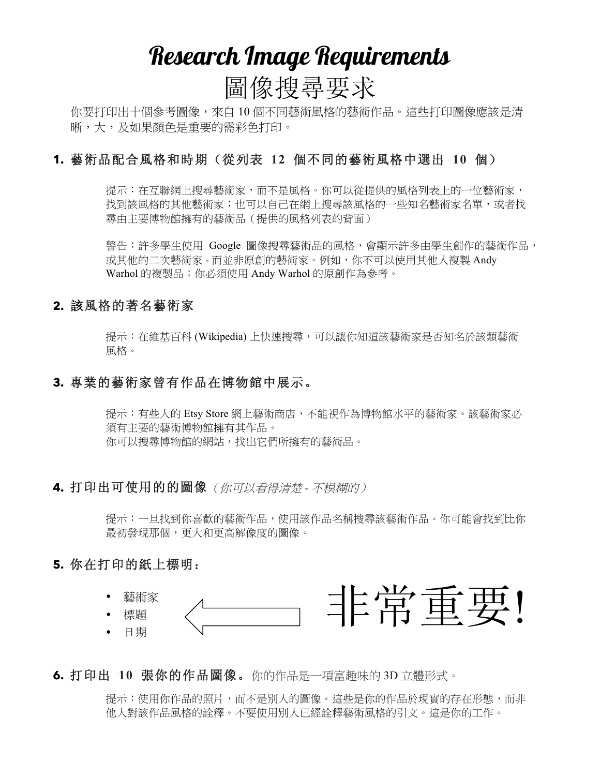# Research Image Requirements 圖像搜尋要求

你要打印出十個參考圖像,來自 10 個不同藝術風格的藝術作品。這些打印圖像應該是清 晰,大,及如果顏色是重要的需彩色打印。

#### **1.** 藝術品配合風格和時期(從列表 **12** 個不同的藝術風格中選出 **10** 個)

提示:在互聯網上搜尋藝術家,而不是風格。你可以從提供的風格列表上的一位藝術家, 找到該風格的其他藝術家;也可以自己在網上搜尋該風格的一些知名藝術家名單,或者找 尋由主要博物館擁有的藝術品(提供的風格列表的背面)

警告:許多學生使用 Google 圖像搜尋藝術品的風格,會顯示許多由學生創作的藝術作品, 或其他的二次藝術家 - 而並非原創的藝術家。例如,你不可以使用其他人複製 Andy Warhol 的複製品;你必須使用 Andy Warhol 的原創作為參考。

#### **2.** 該風格的著名藝術家

提示:在維基百科 (Wikipedia) 上快速搜尋,可以讓你知道該藝術家是否知名於該類藝術 風格。

#### **3.** 專業的藝術家曾有作品在博物館中展示。

提示:有些人的 Etsy Store 網上藝術商店,不能視作為博物館水平的藝術家。該藝術家必 須有主要的藝術博物館擁有其作品。 你可以搜尋博物館的網站,找出它們所擁有的藝術品。

#### **4.** 打印出可使用的的圖像(你可以看得清楚 *-* 不模糊的)

提示:一旦找到你喜歡的藝術作品,使用該作品名稱搜尋該藝術作品。你可能會找到比你 最初發現那個,更大和更高解像度的圖像。

#### **5.** 你在打印的紙上標明:



### **6.** 打印出 **10** 張你的作品圖像。你的作品是一項富趣味的 3D 立體形式。

提示:使用你作品的照片,而不是別人的圖像。這些是你的作品於現實的存在形態,而非 他人對該作品風格的詮釋。不要使用別人已經詮釋藝術風格的引文。這是你的工作。